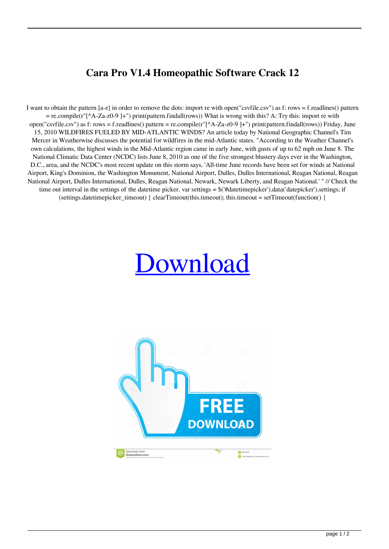## **Cara Pro V1.4 Homeopathic Software Crack 12**

I want to obtain the pattern [a-z] in order to remove the dots: import re with open("csvfile.csv") as f: rows = f.readlines() pattern = re.compile(r"[^A-Za-z0-9 ]+") print(pattern.findall(rows)) What is wrong with this? A: Try this: import re with open("csvfile.csv") as f: rows = f.readlines() pattern = re.compile(r"[^A-Za-z0-9 ]+") print(pattern.findall(rows)) Friday, June 15, 2010 WILDFIRES FUELED BY MID-ATLANTIC WINDS? An article today by National Geographic Channel's Tim Mercer in Weatherwise discusses the potential for wildfires in the mid-Atlantic states. "According to the Weather Channel's own calculations, the highest winds in the Mid-Atlantic region came in early June, with gusts of up to 62 mph on June 8. The National Climatic Data Center (NCDC) lists June 8, 2010 as one of the five strongest blustery days ever in the Washington, D.C., area, and the NCDC's most recent update on this storm says, 'All-time June records have been set for winds at National Airport, King's Dominion, the Washington Monument, National Airport, Dulles, Dulles International, Reagan National, Reagan National Airport, Dulles International, Dulles, Reagan National, Newark, Newark Liberty, and Reagan National.' " // Check the time out interval in the settings of the datetime picker. var settings  $= \frac{S(\text{#datetime}\text{picker})}{\text{#datetime}\text{picker}}$ . settings; if (settings.datetimepicker\_timeout) { clearTimeout(this.timeout); this.timeout = setTimeout(function() {

## [Download](http://evacdir.com/Y2FyYSBwcm8gdjEuNCBob21lb3BhdGhpYyBzb2Z0d2FyZSBjcmFjayAxMgY2F/carfantasy?ramification=immunosuppressants&impersonate=ZG93bmxvYWR8RkY2TW1zNU1ueDhNVFkxTWpjME1EZzJObng4TWpVM05IeDhLRTBwSUhKbFlXUXRZbXh2WnlCYlJtRnpkQ0JIUlU1ZA&..)